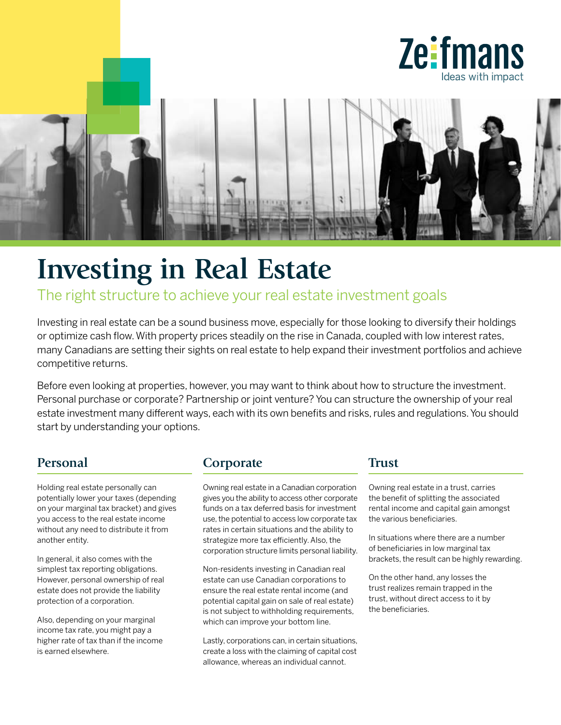



# **Investing in Real Estate**

## The right structure to achieve your real estate investment goals

Investing in real estate can be a sound business move, especially for those looking to diversify their holdings or optimize cash flow. With property prices steadily on the rise in Canada, coupled with low interest rates, many Canadians are setting their sights on real estate to help expand their investment portfolios and achieve competitive returns.

Before even looking at properties, however, you may want to think about how to structure the investment. Personal purchase or corporate? Partnership or joint venture? You can structure the ownership of your real estate investment many different ways, each with its own benefits and risks, rules and regulations. You should start by understanding your options.

#### **Personal**

Holding real estate personally can potentially lower your taxes (depending on your marginal tax bracket) and gives you access to the real estate income without any need to distribute it from another entity.

In general, it also comes with the simplest tax reporting obligations. However, personal ownership of real estate does not provide the liability protection of a corporation.

Also, depending on your marginal income tax rate, you might pay a higher rate of tax than if the income is earned elsewhere.

## **Corporate**

Owning real estate in a Canadian corporation gives you the ability to access other corporate funds on a tax deferred basis for investment use, the potential to access low corporate tax rates in certain situations and the ability to strategize more tax efficiently. Also, the corporation structure limits personal liability.

Non-residents investing in Canadian real estate can use Canadian corporations to ensure the real estate rental income (and potential capital gain on sale of real estate) is not subject to withholding requirements. which can improve your bottom line.

Lastly, corporations can, in certain situations, create a loss with the claiming of capital cost allowance, whereas an individual cannot.

#### **Trust**

Owning real estate in a trust, carries the benefit of splitting the associated rental income and capital gain amongst the various beneficiaries.

In situations where there are a number of beneficiaries in low marginal tax brackets, the result can be highly rewarding.

On the other hand, any losses the trust realizes remain trapped in the trust, without direct access to it by the beneficiaries.